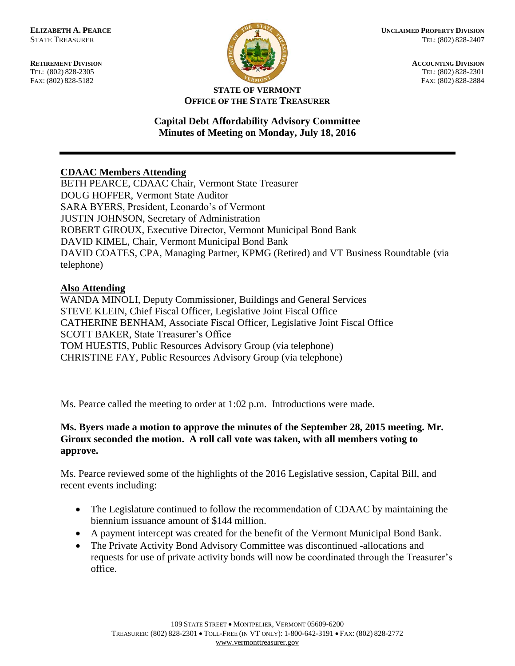FAX: (802) 828-5182



**RETIREMENT DIVISION**<br> **RETIREMENT DIVISION**<br> **ACCOUNTING DIVISION**<br> **IFIL:** (802) 828-2305 TEL: (802) 828-2301<br>FAX: (802) 828-2884

#### **STATE OF VERMONT OFFICE OF THE STATE TREASURER**

# **Capital Debt Affordability Advisory Committee Minutes of Meeting on Monday, July 18, 2016**

## **CDAAC Members Attending**

BETH PEARCE, CDAAC Chair, Vermont State Treasurer DOUG HOFFER, Vermont State Auditor SARA BYERS, President, Leonardo's of Vermont JUSTIN JOHNSON, Secretary of Administration ROBERT GIROUX, Executive Director, Vermont Municipal Bond Bank DAVID KIMEL, Chair, Vermont Municipal Bond Bank DAVID COATES, CPA, Managing Partner, KPMG (Retired) and VT Business Roundtable (via telephone)

# **Also Attending**

WANDA MINOLI, Deputy Commissioner, Buildings and General Services STEVE KLEIN, Chief Fiscal Officer, Legislative Joint Fiscal Office CATHERINE BENHAM, Associate Fiscal Officer, Legislative Joint Fiscal Office SCOTT BAKER, State Treasurer's Office TOM HUESTIS, Public Resources Advisory Group (via telephone) CHRISTINE FAY, Public Resources Advisory Group (via telephone)

Ms. Pearce called the meeting to order at 1:02 p.m. Introductions were made.

### **Ms. Byers made a motion to approve the minutes of the September 28, 2015 meeting. Mr. Giroux seconded the motion. A roll call vote was taken, with all members voting to approve.**

Ms. Pearce reviewed some of the highlights of the 2016 Legislative session, Capital Bill, and recent events including:

- The Legislature continued to follow the recommendation of CDAAC by maintaining the biennium issuance amount of \$144 million.
- A payment intercept was created for the benefit of the Vermont Municipal Bond Bank.
- The Private Activity Bond Advisory Committee was discontinued -allocations and requests for use of private activity bonds will now be coordinated through the Treasurer's office.